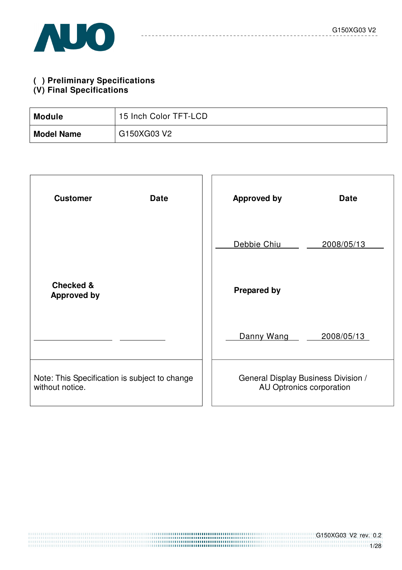## **( ) Preliminary Specifications**

#### **(V) Final Specifications**

| <b>Module</b>     | 15 Inch Color TFT-LCD |
|-------------------|-----------------------|
| <b>Model Name</b> | G150XG03 V2           |

| <b>Customer</b><br><b>Date</b>                                   | <b>Approved by</b><br><b>Date</b>                               |
|------------------------------------------------------------------|-----------------------------------------------------------------|
|                                                                  | Debbie Chiu<br>2008/05/13                                       |
| <b>Checked &amp;</b><br><b>Approved by</b>                       | <b>Prepared by</b>                                              |
|                                                                  | Danny Wang<br>2008/05/13                                        |
| Note: This Specification is subject to change<br>without notice. | General Display Business Division /<br>AU Optronics corporation |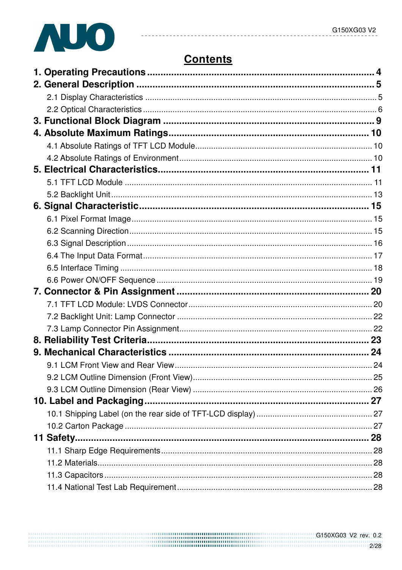

# **Contents**

------------

--------------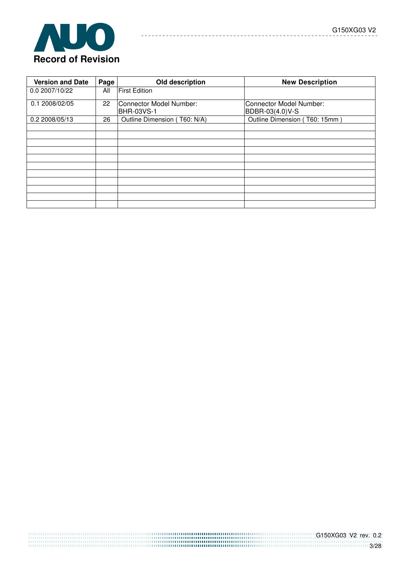



| <b>Version and Date</b> | Page | Old description                              | <b>New Description</b>                            |
|-------------------------|------|----------------------------------------------|---------------------------------------------------|
| 0.0 2007/10/22          | All  | <b>First Edition</b>                         |                                                   |
| 0.1 2008/02/05          | 22   | Connector Model Number:<br><b>BHR-03VS-1</b> | <b>Connector Model Number:</b><br>BDBR-03(4.0)V-S |
| 0.2 2008/05/13          | 26   | Outline Dimension (T60: N/A)                 | Outline Dimension (T60: 15mm)                     |
|                         |      |                                              |                                                   |
|                         |      |                                              |                                                   |
|                         |      |                                              |                                                   |
|                         |      |                                              |                                                   |
|                         |      |                                              |                                                   |
|                         |      |                                              |                                                   |
|                         |      |                                              |                                                   |
|                         |      |                                              |                                                   |
|                         |      |                                              |                                                   |
|                         |      |                                              |                                                   |
|                         |      |                                              |                                                   |

 $\frac{1}{2} \left( \frac{1}{2} \right) \left( \frac{1}{2} \right) \left( \frac{1}{2} \right) \left( \frac{1}{2} \right) \left( \frac{1}{2} \right) \left( \frac{1}{2} \right) \left( \frac{1}{2} \right) \left( \frac{1}{2} \right) \left( \frac{1}{2} \right) \left( \frac{1}{2} \right) \left( \frac{1}{2} \right) \left( \frac{1}{2} \right) \left( \frac{1}{2} \right) \left( \frac{1}{2} \right) \left( \frac{1}{2} \right) \left( \frac{1}{2} \right) \left( \frac$ 

 $\sim$   $\frac{1}{2} \frac{1}{2} \frac{1}{2} \frac{1}{2} \frac{1}{2} \frac{1}{2} \frac{1}{2} \frac{1}{2} \frac{1}{2} \frac{1}{2} \frac{1}{2} \frac{1}{2} \frac{1}{2} \frac{1}{2} \frac{1}{2} \frac{1}{2} \frac{1}{2} \frac{1}{2} \frac{1}{2} \frac{1}{2} \frac{1}{2} \frac{1}{2} \frac{1}{2} \frac{1}{2} \frac{1}{2} \frac{1}{2} \frac{1}{2} \frac{1}{2} \frac{1}{2} \frac{1}{2} \frac{1}{2} \frac{$  ---------------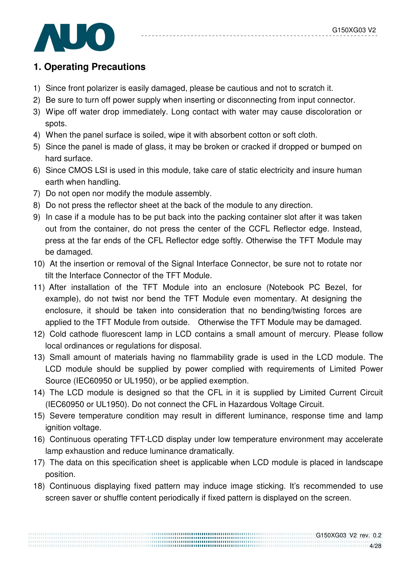

## **1. Operating Precautions**

- 1) Since front polarizer is easily damaged, please be cautious and not to scratch it.
- 2) Be sure to turn off power supply when inserting or disconnecting from input connector.
- 3) Wipe off water drop immediately. Long contact with water may cause discoloration or spots.
- 4) When the panel surface is soiled, wipe it with absorbent cotton or soft cloth.
- 5) Since the panel is made of glass, it may be broken or cracked if dropped or bumped on hard surface.
- 6) Since CMOS LSI is used in this module, take care of static electricity and insure human earth when handling.
- 7) Do not open nor modify the module assembly.
- 8) Do not press the reflector sheet at the back of the module to any direction.
- 9) In case if a module has to be put back into the packing container slot after it was taken out from the container, do not press the center of the CCFL Reflector edge. Instead, press at the far ends of the CFL Reflector edge softly. Otherwise the TFT Module may be damaged.
- 10) At the insertion or removal of the Signal Interface Connector, be sure not to rotate nor tilt the Interface Connector of the TFT Module.
- 11) After installation of the TFT Module into an enclosure (Notebook PC Bezel, for example), do not twist nor bend the TFT Module even momentary. At designing the enclosure, it should be taken into consideration that no bending/twisting forces are applied to the TFT Module from outside. Otherwise the TFT Module may be damaged.
- 12) Cold cathode fluorescent lamp in LCD contains a small amount of mercury. Please follow local ordinances or regulations for disposal.
- 13) Small amount of materials having no flammability grade is used in the LCD module. The LCD module should be supplied by power complied with requirements of Limited Power Source (IEC60950 or UL1950), or be applied exemption.
- 14) The LCD module is designed so that the CFL in it is supplied by Limited Current Circuit (IEC60950 or UL1950). Do not connect the CFL in Hazardous Voltage Circuit.
- 15) Severe temperature condition may result in different luminance, response time and lamp ignition voltage.
- 16) Continuous operating TFT-LCD display under low temperature environment may accelerate lamp exhaustion and reduce luminance dramatically.
- 17) The data on this specification sheet is applicable when LCD module is placed in landscape position.
- 18) Continuous displaying fixed pattern may induce image sticking. It's recommended to use screen saver or shuffle content periodically if fixed pattern is displayed on the screen.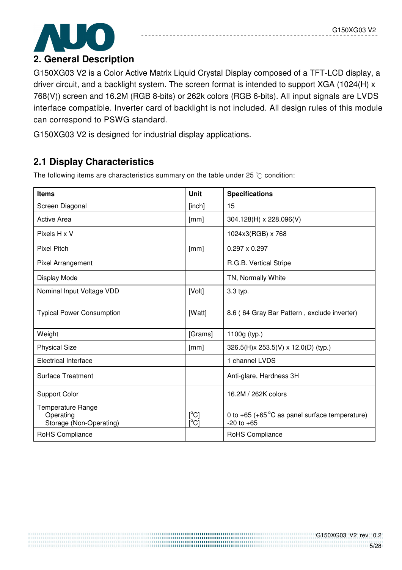

### **2. General Description**

G150XG03 V2 is a Color Active Matrix Liquid Crystal Display composed of a TFT-LCD display, a driver circuit, and a backlight system. The screen format is intended to support XGA (1024(H) x 768(V)) screen and 16.2M (RGB 8-bits) or 262k colors (RGB 6-bits). All input signals are LVDS interface compatible. Inverter card of backlight is not included. All design rules of this module can correspond to PSWG standard.

G150XG03 V2 is designed for industrial display applications.

# **2.1 Display Characteristics**

The following items are characteristics summary on the table under 25  $\degree$ C condition:

| <b>Items</b>                                              | Unit                 | <b>Specifications</b>                                                        |
|-----------------------------------------------------------|----------------------|------------------------------------------------------------------------------|
| Screen Diagonal                                           | [inch]               | 15                                                                           |
| <b>Active Area</b>                                        | [mm]                 | 304.128(H) x 228.096(V)                                                      |
| Pixels H x V                                              |                      | 1024x3(RGB) x 768                                                            |
| <b>Pixel Pitch</b>                                        | [mm]                 | $0.297 \times 0.297$                                                         |
| Pixel Arrangement                                         |                      | R.G.B. Vertical Stripe                                                       |
| Display Mode                                              |                      | TN, Normally White                                                           |
| Nominal Input Voltage VDD                                 | [Volt]               | 3.3 typ.                                                                     |
| <b>Typical Power Consumption</b>                          | [Watt]               | 8.6 (64 Gray Bar Pattern, exclude inverter)                                  |
| Weight                                                    | [Grams]              | 1100g (typ.)                                                                 |
| <b>Physical Size</b>                                      | [mm]                 | 326.5(H)x 253.5(V) x 12.0(D) (typ.)                                          |
| <b>Electrical Interface</b>                               |                      | 1 channel LVDS                                                               |
| <b>Surface Treatment</b>                                  |                      | Anti-glare, Hardness 3H                                                      |
| <b>Support Color</b>                                      |                      | 16.2M / 262K colors                                                          |
| Temperature Range<br>Operating<br>Storage (Non-Operating) | $[^{\circ}C]$<br>ΰCĪ | 0 to $+65$ ( $+65^{\circ}$ C as panel surface temperature)<br>$-20$ to $+65$ |
| RoHS Compliance                                           |                      | RoHS Compliance                                                              |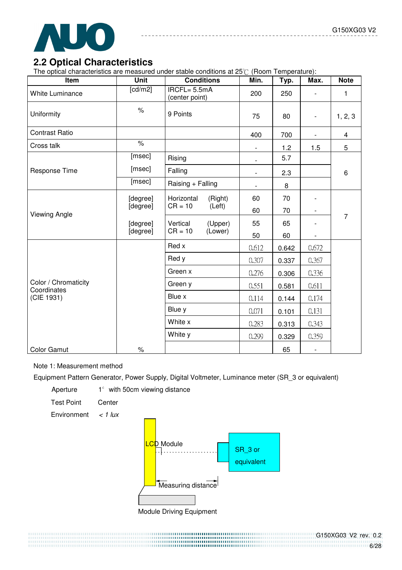

### **2.2 Optical Characteristics**

The optical characteristics are measured under stable conditions at  $25^{\circ}$  (Room Temperature):

| Item                                | <b>Unit</b>                 | <b>Conditions</b>                 | Min.                     | Typ.  | Max.                     | <b>Note</b>             |
|-------------------------------------|-----------------------------|-----------------------------------|--------------------------|-------|--------------------------|-------------------------|
| <b>White Luminance</b>              | $\overline{\text{[cd/m2]}}$ | $IRCFL = 5.5mA$<br>(center point) | 200                      | 250   | $\overline{\phantom{a}}$ | 1                       |
| Uniformity                          | $\%$                        | 9 Points                          | 75                       | 80    | $\overline{\phantom{a}}$ | 1, 2, 3                 |
| <b>Contrast Ratio</b>               |                             |                                   | 400                      | 700   |                          | $\overline{\mathbf{4}}$ |
| Cross talk                          | $\frac{1}{\sqrt{2}}$        |                                   | $\overline{\phantom{a}}$ | 1.2   | 1.5                      | 5                       |
|                                     | [msec]                      | Rising                            | $\overline{\phantom{a}}$ | 5.7   |                          |                         |
| Response Time                       | [msec]                      | Falling                           | $\overline{\phantom{a}}$ | 2.3   |                          | 6                       |
|                                     | [msec]                      | Raising + Falling                 |                          | 8     |                          |                         |
|                                     | [degree]<br>[degree]        | Horizontal<br>(Right)             | 60                       | 70    |                          | $\overline{7}$          |
| <b>Viewing Angle</b>                |                             | $CR = 10$<br>(Left)               | 60                       | 70    | $\overline{\phantom{a}}$ |                         |
|                                     | [degree]                    | (Upper)<br>Vertical               | 55                       | 65    |                          |                         |
|                                     | [degree]                    | $CR = 10$<br>(Lower)              | 50                       | 60    |                          |                         |
|                                     |                             | Red x                             | 0.612                    | 0.642 | 0.672                    |                         |
|                                     |                             | Red y                             | 0.307                    | 0.337 | 0.367                    |                         |
|                                     |                             | Green x                           | 0.276                    | 0.306 | 0.336                    |                         |
| Color / Chromaticity<br>Coordinates |                             | Green y                           | 0.551                    | 0.581 | 0.611                    |                         |
| (CIE 1931)                          |                             | Blue x                            | 0.114                    | 0.144 | 0.174                    |                         |
|                                     |                             | Blue y                            | 0.071                    | 0.101 | 0.131                    |                         |
|                                     |                             | White x                           | 0.283                    | 0.313 | 0.343                    |                         |
|                                     |                             | White y                           | 0.299                    | 0.329 | 0.359                    |                         |
| <b>Color Gamut</b>                  | $\%$                        |                                   |                          | 65    | $\overline{\phantom{a}}$ |                         |

#### Note 1: Measurement method

Equipment Pattern Generator, Power Supply, Digital Voltmeter, Luminance meter (SR\_3 or equivalent)

Aperture  $1^\circ$  with 50cm viewing distance

Test Point Center

Environment  $\lt$  1 lux



................

Module Driving Equipment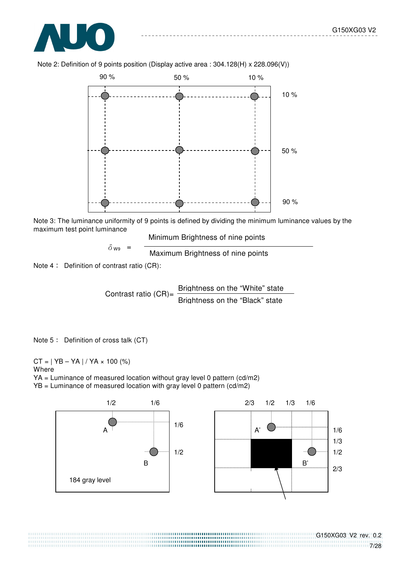



Note 2: Definition of 9 points position (Display active area : 304.128(H) x 228.096(V))

Note 3: The luminance uniformity of 9 points is defined by dividing the minimum luminance values by the maximum test point luminance Minimum Brightness of nine points

$$
\delta_{\text{W9}} = \frac{100 \text{ m} + 100 \text{ m}}{100 \text{ m} + 100 \text{ m}} = 0.01 \text{ m} = 0.01 \text{ m}
$$

Note  $4:$  Definition of contrast ratio (CR):

Contrast ratio  $(CR)$ =  $\frac{\text{Brichtness on the "White" state}}{\text{Brich} \cdot \text{Brich} \cdot \text{Brich} \cdot \text{Brich} \cdot \text{Brich} \cdot \text{Brich} \cdot \text{Brich} \cdot \text{Brich} \cdot \text{Brich} \cdot \text{Brich} \cdot \text{Brich} \cdot \text{Brich} \cdot \text{Brich} \cdot \text{Brich} \cdot \text{Brich} \cdot \text{Brich} \cdot \text{Brich} \cdot \text{Brich} \cdot \text{Brich} \cdot \text{Brich} \cdot \text{Brich} \cdot \text{Brich} \cdot \text{Brich}$ Brightness on the "Black" state

Note  $5:$  Definition of cross talk  $(CT)$ 

 $CT = | YB - YA | / YA \times 100 (%)$ **Where** YA = Luminance of measured location without gray level 0 pattern (cd/m2)

YB = Luminance of measured location with gray level 0 pattern (cd/m2)

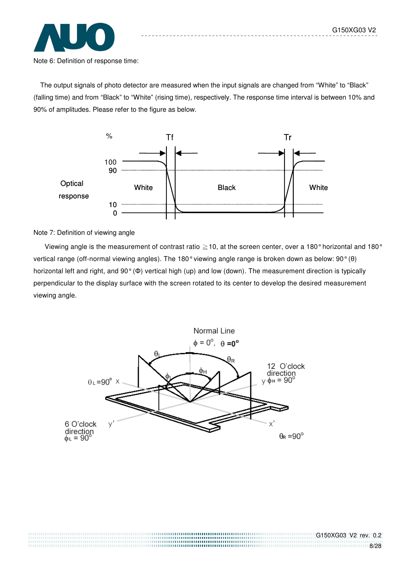

The output signals of photo detector are measured when the input signals are changed from "White" to "Black" (falling time) and from "Black" to "White" (rising time), respectively. The response time interval is between 10% and 90% of amplitudes. Please refer to the figure as below.



Note 7: Definition of viewing angle

Viewing angle is the measurement of contrast ratio  $\geq$  10, at the screen center, over a 180° horizontal and 180° vertical range (off-normal viewing angles). The 180° viewing angle range is broken down as below: 90° (θ) horizontal left and right, and 90° (Φ) vertical high (up) and low (down). The measurement direction is typically perpendicular to the display surface with the screen rotated to its center to develop the desired measurement viewing angle.

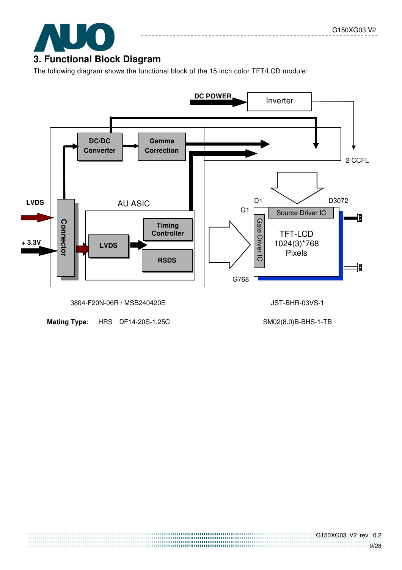

The following diagram shows the functional block of the 15 inch color TFT/LCD module:



**Mating Type:** HRS DF14-20S-1.25C SM02(8.0)B-BHS-1-TB

G150XG03 V2 rev. 0.2 111111111111111111111111111111111119/28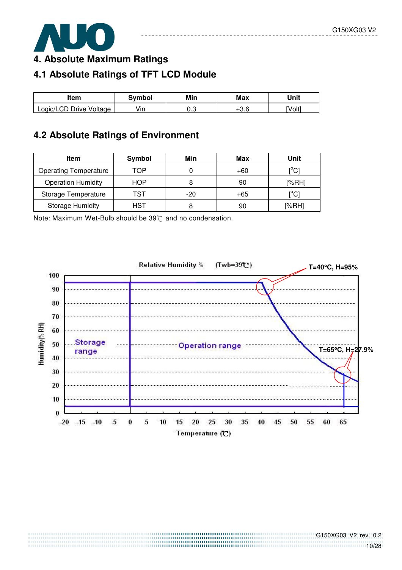

**4. Absolute Maximum Ratings** 

# **4.1 Absolute Ratings of TFT LCD Module**

| ltem                    | Svmbol | Min | Max | Unit   |
|-------------------------|--------|-----|-----|--------|
| Logic/LCD Drive Voltage | /in    | ∪.∪ | o c | [Volt] |

# **4.2 Absolute Ratings of Environment**

| Item                         | Symbol | Min   | Max | Unit                                    |
|------------------------------|--------|-------|-----|-----------------------------------------|
| <b>Operating Temperature</b> | TOP    |       | +60 | $[^{\circ}C]$                           |
| <b>Operation Humidity</b>    | HOP    |       | 90  | [%RH]                                   |
| Storage Temperature          | TST    | $-20$ | +65 | $\mathsf{I}^\circ\mathsf{C} \mathsf{I}$ |
| <b>Storage Humidity</b>      | HST    |       | 90  | [%RH]                                   |

Note: Maximum Wet-Bulb should be  $39^{\circ}$  and no condensation.

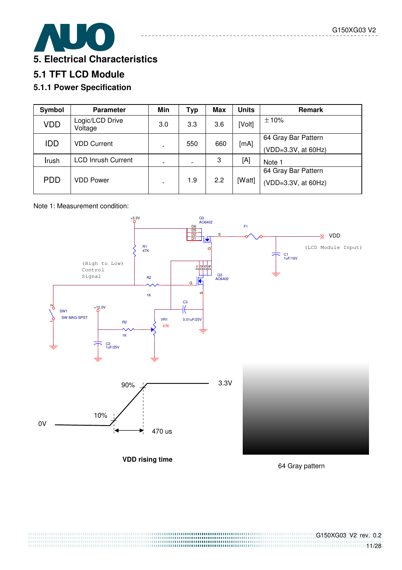

## **5.1 TFT LCD Module**

#### **5.1.1 Power Specification**

| Symbol     | <b>Parameter</b>           | Min | <b>Typ</b> | <b>Max</b> | <b>Units</b> | Remark              |
|------------|----------------------------|-----|------------|------------|--------------|---------------------|
| <b>VDD</b> | Logic/LCD Drive<br>Voltage | 3.0 | 3.3        | 3.6        | [Volt]       | ±10%                |
| <b>IDD</b> | <b>VDD Current</b>         |     | 550        | 660        | [mA]         | 64 Gray Bar Pattern |
|            |                            |     |            |            |              | (VDD=3.3V, at 60Hz) |
| Irush      | <b>LCD Inrush Current</b>  |     |            | 3          | [A]          | Note 1              |
|            |                            |     |            |            |              | 64 Gray Bar Pattern |
| <b>PDD</b> | VDD Power                  |     | 1.9        | 2.2        | [Watt]       | (VDD=3.3V, at 60Hz) |

#### Note 1: Measurement condition:



64 Gray pattern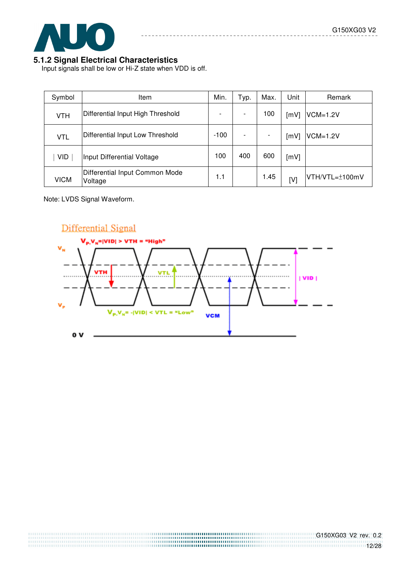

#### **5.1.2 Signal Electrical Characteristics**

Input signals shall be low or Hi-Z state when VDD is off.

| Symbol      | Item                                      | Min. | Typ. | Max.                     | Unit | Remark         |
|-------------|-------------------------------------------|------|------|--------------------------|------|----------------|
| <b>VTH</b>  | Differential Input High Threshold         |      |      | 100                      | [mV] | $VCM=1.2V$     |
| <b>VTL</b>  | Differential Input Low Threshold          |      |      | $\overline{\phantom{a}}$ | [mV] | $VCM=1.2V$     |
| <b>VID</b>  | Input Differential Voltage                |      | 400  | 600                      | [mV] |                |
| <b>VICM</b> | Differential Input Common Mode<br>Voltage |      |      | 1.45                     | [V]  | VTH/VTL=±100mV |

Note: LVDS Signal Waveform.

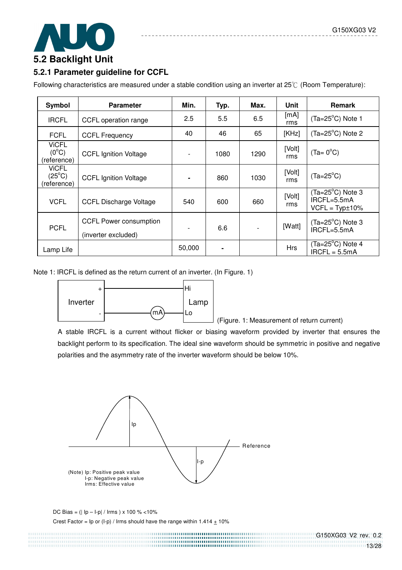

#### **5.2.1 Parameter guideline for CCFL**

Following characteristics are measured under a stable condition using an inverter at  $25^{\circ}$  (Room Temperature):

| Symbol                                                              | <b>Parameter</b>              | Min.   | Typ. | Max.           | Unit          | <b>Remark</b>                                                |
|---------------------------------------------------------------------|-------------------------------|--------|------|----------------|---------------|--------------------------------------------------------------|
| <b>IRCFL</b>                                                        | CCFL operation range          | 2.5    | 5.5  | 6.5            | [mA]<br>rms   | $(Ta=25^{\circ}C)$ Note 1                                    |
| <b>FCFL</b>                                                         | <b>CCFL Frequency</b>         | 40     | 46   | 65             | [KHz]         | $(Ta=25^{\circ}C)$ Note 2                                    |
| <b>ViCFL</b><br>$(0^{\circ}C)$<br>(reference)                       | <b>CCFL Ignition Voltage</b>  |        | 1080 | 1290           | [Volt]<br>rms | $(Ta = 0$ °C)                                                |
| <b>ViCFL</b><br>$(25^{\circ}C)$<br>(reference)                      | <b>CCFL Ignition Voltage</b>  |        | 860  | 1030           | [Volt]<br>rms | $(Ta=25^{\circ}C)$                                           |
| <b>VCFL</b>                                                         | <b>CCFL Discharge Voltage</b> |        | 600  | 660            | [Volt]<br>rms | $(Ta=25^{\circ}C)$ Note 3<br>IRCFL=5.5mA<br>$VCFL = Typt10%$ |
| <b>CCFL Power consumption</b><br><b>PCFL</b><br>(inverter excluded) |                               |        | 6.6  | $\blacksquare$ | [Watt]        | $(Ta=25^{\circ}C)$ Note 3<br>IRCFL=5.5mA                     |
| Lamp Life                                                           |                               | 50,000 |      |                | <b>Hrs</b>    | $(Ta=25^{\circ}C)$ Note 4<br>$IRCFL = 5.5mA$                 |

Note 1: IRCFL is defined as the return current of an inverter. (In Figure. 1)



(Figure. 1: Measurement of return current)

 A stable IRCFL is a current without flicker or biasing waveform provided by inverter that ensures the backlight perform to its specification. The ideal sine waveform should be symmetric in positive and negative polarities and the asymmetry rate of the inverter waveform should be below 10%.



 DC Bias = (| Ip – I-p| / Irms ) x 100 % <10% Crest Factor =  $\ln$  or (I-p) / Irms should have the range within 1.414  $\pm$  10%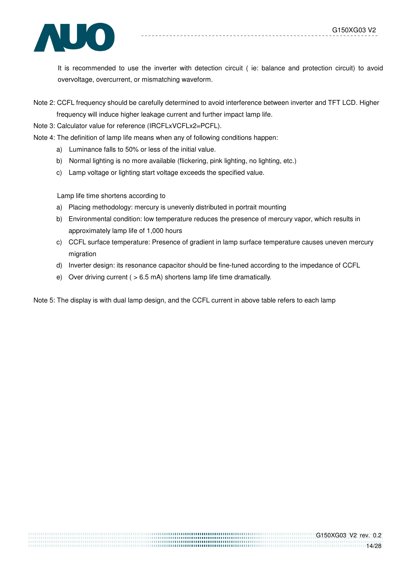

 It is recommended to use the inverter with detection circuit ( ie: balance and protection circuit) to avoid overvoltage, overcurrent, or mismatching waveform.

Note 2: CCFL frequency should be carefully determined to avoid interference between inverter and TFT LCD. Higher frequency will induce higher leakage current and further impact lamp life.

Note 3: Calculator value for reference (IRCFLxVCFLx2=PCFL).

- Note 4: The definition of lamp life means when any of following conditions happen:
	- a) Luminance falls to 50% or less of the initial value.
	- b) Normal lighting is no more available (flickering, pink lighting, no lighting, etc.)
	- c) Lamp voltage or lighting start voltage exceeds the specified value.

Lamp life time shortens according to

- a) Placing methodology: mercury is unevenly distributed in portrait mounting
- b) Environmental condition: low temperature reduces the presence of mercury vapor, which results in approximately lamp life of 1,000 hours
- c) CCFL surface temperature: Presence of gradient in lamp surface temperature causes uneven mercury migration
- d) Inverter design: its resonance capacitor should be fine-tuned according to the impedance of CCFL
- e) Over driving current ( > 6.5 mA) shortens lamp life time dramatically.

Note 5: The display is with dual lamp design, and the CCFL current in above table refers to each lamp

,,,,,,,,,,,,,,,,,,,,,,,,,,,,,,,,,,,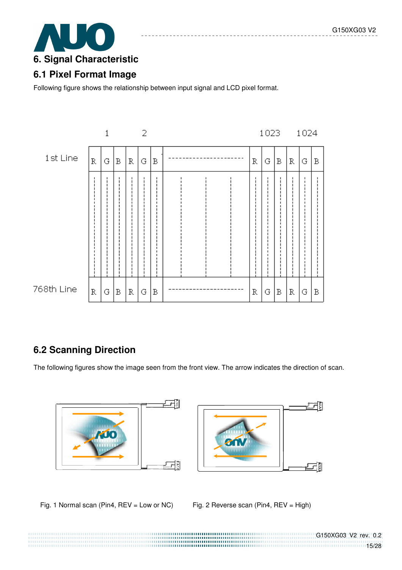

### **6.1 Pixel Format Image**

Following figure shows the relationship between input signal and LCD pixel format.



# **6.2 Scanning Direction**

The following figures show the image seen from the front view. The arrow indicates the direction of scan.



Fig. 1 Normal scan (Pin4, REV = Low or NC) Fig. 2 Reverse scan (Pin4, REV = High)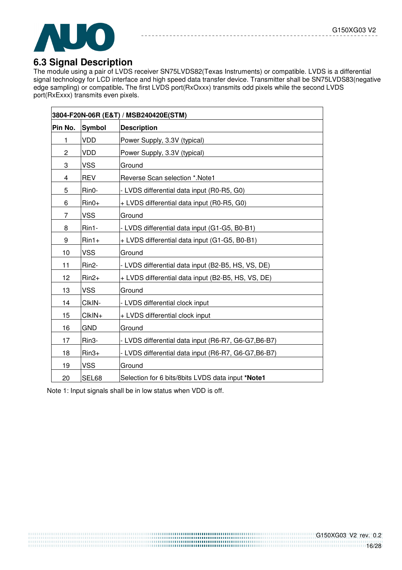

## **6.3 Signal Description**

The module using a pair of LVDS receiver SN75LVDS82(Texas Instruments) or compatible. LVDS is a differential signal technology for LCD interface and high speed data transfer device. Transmitter shall be SN75LVDS83(negative edge sampling) or compatible**.** The first LVDS port(RxOxxx) transmits odd pixels while the second LVDS port(RxExxx) transmits even pixels.

|         |               | 3804-F20N-06R (E&T) / MSB240420E(STM)                |
|---------|---------------|------------------------------------------------------|
| Pin No. | <b>Symbol</b> | <b>Description</b>                                   |
| 1       | <b>VDD</b>    | Power Supply, 3.3V (typical)                         |
| 2       | <b>VDD</b>    | Power Supply, 3.3V (typical)                         |
| 3       | <b>VSS</b>    | Ground                                               |
| 4       | <b>REV</b>    | Reverse Scan selection *. Note1                      |
| 5       | Rin0-         | - LVDS differential data input (R0-R5, G0)           |
| 6       | $Rin0+$       | + LVDS differential data input (R0-R5, G0)           |
| 7       | <b>VSS</b>    | Ground                                               |
| 8       | Rin1-         | - LVDS differential data input (G1-G5, B0-B1)        |
| 9       | $Rin1+$       | + LVDS differential data input (G1-G5, B0-B1)        |
| 10      | <b>VSS</b>    | Ground                                               |
| 11      | Rin2-         | - LVDS differential data input (B2-B5, HS, VS, DE)   |
| 12      | $Rin2+$       | + LVDS differential data input (B2-B5, HS, VS, DE)   |
| 13      | <b>VSS</b>    | Ground                                               |
| 14      | CIkIN-        | - LVDS differential clock input                      |
| 15      | CIkIN+        | + LVDS differential clock input                      |
| 16      | <b>GND</b>    | Ground                                               |
| 17      | Rin3-         | - LVDS differential data input (R6-R7, G6-G7, B6-B7) |
| 18      | $Rin3+$       | - LVDS differential data input (R6-R7, G6-G7, B6-B7) |
| 19      | <b>VSS</b>    | Ground                                               |
| 20      | SEL68         | Selection for 6 bits/8bits LVDS data input *Note1    |

Note 1: Input signals shall be in low status when VDD is off.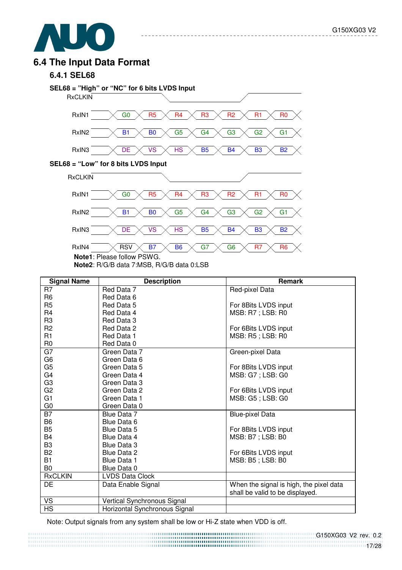

### **6.4 The Input Data Format**

#### **6.4.1 SEL68**



<u>\_\_\_\_\_\_\_\_\_\_\_\_\_\_\_</u>

**Note1**: Please follow PSWG.

**Note2**: R/G/B data 7:MSB, R/G/B data 0:LSB

| <b>Signal Name</b> | <b>Description</b>            | <b>Remark</b>                           |
|--------------------|-------------------------------|-----------------------------------------|
| R7                 | Red Data 7                    | Red-pixel Data                          |
| R <sub>6</sub>     | Red Data 6                    |                                         |
| R <sub>5</sub>     | Red Data 5                    | For 8Bits LVDS input                    |
| R <sub>4</sub>     | Red Data 4                    | MSB: R7 ; LSB: R0                       |
| R <sub>3</sub>     | Red Data 3                    |                                         |
| R <sub>2</sub>     | Red Data 2                    | For 6Bits LVDS input                    |
| R1                 | Red Data 1                    | MSB: R5; LSB: R0                        |
| R <sub>0</sub>     | Red Data 0                    |                                         |
| G7                 | Green Data 7                  | Green-pixel Data                        |
| G <sub>6</sub>     | Green Data 6                  |                                         |
| G <sub>5</sub>     | Green Data 5                  | For 8Bits LVDS input                    |
| G4                 | Green Data 4                  | MSB: G7 ; LSB: G0                       |
| G <sub>3</sub>     | Green Data 3                  |                                         |
| G <sub>2</sub>     | Green Data 2                  | For 6Bits LVDS input                    |
| G <sub>1</sub>     | Green Data 1                  | MSB: G5; LSB: G0                        |
| G0                 | Green Data 0                  |                                         |
| $\overline{B7}$    | Blue Data 7                   | <b>Blue-pixel Data</b>                  |
| B <sub>6</sub>     | Blue Data 6                   |                                         |
| B <sub>5</sub>     | <b>Blue Data 5</b>            | For 8Bits LVDS input                    |
| B <sub>4</sub>     | Blue Data 4                   | MSB: B7 ; LSB: B0                       |
| B <sub>3</sub>     | <b>Blue Data 3</b>            |                                         |
| <b>B2</b>          | <b>Blue Data 2</b>            | For 6Bits LVDS input                    |
| <b>B1</b>          | <b>Blue Data 1</b>            | MSB: B5; LSB: B0                        |
| B <sub>0</sub>     | Blue Data 0                   |                                         |
| <b>RxCLKIN</b>     | <b>LVDS Data Clock</b>        |                                         |
| <b>DE</b>          | Data Enable Signal            | When the signal is high, the pixel data |
|                    |                               | shall be valid to be displayed.         |
| VS                 | Vertical Synchronous Signal   |                                         |
| <b>HS</b>          | Horizontal Synchronous Signal |                                         |

Note: Output signals from any system shall be low or Hi-Z state when VDD is off.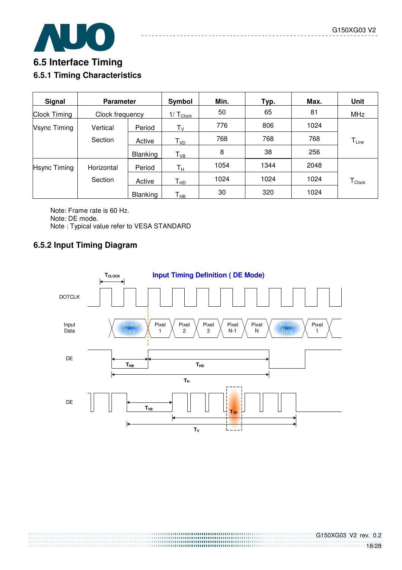



# **6.5 Interface Timing 6.5.1 Timing Characteristics**

| <b>Signal</b>       | <b>Parameter</b> |                 | Symbol                     | Min. | Typ. | Max. | <b>Unit</b>                    |
|---------------------|------------------|-----------------|----------------------------|------|------|------|--------------------------------|
| <b>Clock Timing</b> | Clock frequency  |                 | $1/ T_{Clock}$             | 50   | 65   | 81   | <b>MHz</b>                     |
| <b>Vsync Timing</b> | Vertical         | Period          | $T_{V}$                    | 776  | 806  | 1024 |                                |
|                     | Section          | Active          | T <sub>vd</sub>            | 768  | 768  | 768  | $T_{Line}$                     |
|                     |                  | <b>Blanking</b> | $\mathsf{T}_{\mathsf{VB}}$ | 8    | 38   | 256  |                                |
| <b>Hsync Timing</b> | Horizontal       | Period          | $T_{\rm H}$                | 1054 | 1344 | 2048 |                                |
|                     | Section          | Active          | Т <sub>нр</sub>            | 1024 | 1024 | 1024 | ${\mathsf T}_{\mathsf{Clock}}$ |
|                     |                  | <b>Blanking</b> | Т <sub>нв</sub>            | 30   | 320  | 1024 |                                |

Note: Frame rate is 60 Hz. Note: DE mode. Note : Typical value refer to VESA STANDARD

### **6.5.2 Input Timing Diagram**

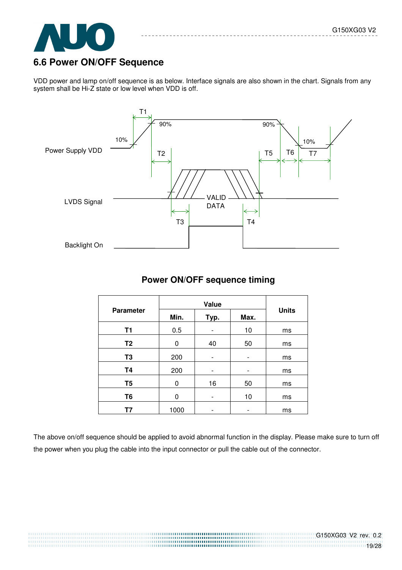

### **6.6 Power ON/OFF Sequence**

VDD power and lamp on/off sequence is as below. Interface signals are also shown in the chart. Signals from any system shall be Hi-Z state or low level when VDD is off.



#### **Power ON/OFF sequence timing**

|                  | Value |      |      |              |
|------------------|-------|------|------|--------------|
| <b>Parameter</b> | Min.  | Typ. | Max. | <b>Units</b> |
| T1               | 0.5   |      | 10   | ms           |
| T <sub>2</sub>   | 0     | 40   | 50   | ms           |
| T <sub>3</sub>   | 200   |      |      | ms           |
| <b>T4</b>        | 200   |      |      | ms           |
| T <sub>5</sub>   | 0     | 16   | 50   | ms           |
| T <sub>6</sub>   | O     |      | 10   | ms           |
| Τ7               | 1000  |      | -    | ms           |

The above on/off sequence should be applied to avoid abnormal function in the display. Please make sure to turn off the power when you plug the cable into the input connector or pull the cable out of the connector.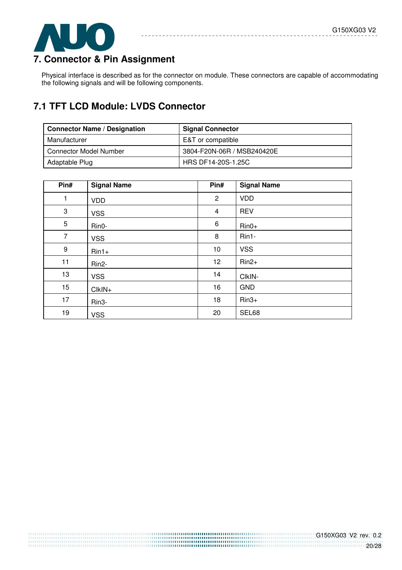

# **7. Connector & Pin Assignment**

Physical interface is described as for the connector on module. These connectors are capable of accommodating the following signals and will be following components.

 $\sim$   $= -$ 

# **7.1 TFT LCD Module: LVDS Connector**

| <b>Connector Name / Designation</b> | <b>Signal Connector</b>    |
|-------------------------------------|----------------------------|
| Manufacturer                        | E&T or compatible          |
| <b>Connector Model Number</b>       | 3804-F20N-06R / MSB240420E |
| Adaptable Plug                      | HRS DF14-20S-1.25C         |

| Pin# | <b>Signal Name</b> | Pin#                    | <b>Signal Name</b> |
|------|--------------------|-------------------------|--------------------|
| 1    | <b>VDD</b>         | $\overline{2}$          | <b>VDD</b>         |
| 3    | <b>VSS</b>         | $\overline{\mathbf{4}}$ | <b>REV</b>         |
| 5    | Rin0-              | $\,6$                   | $Rin0+$            |
| 7    | <b>VSS</b>         | 8                       | Rin1-              |
| 9    | $Rin1+$            | 10                      | <b>VSS</b>         |
| 11   | Rin <sub>2</sub> - | 12                      | $Rin2+$            |
| 13   | <b>VSS</b>         | 14                      | CIkIN-             |
| 15   | $ClkIN+$           | 16                      | <b>GND</b>         |
| 17   | Rin <sub>3</sub> - | 18                      | $Rin3+$            |
| 19   | <b>VSS</b>         | 20                      | SEL68              |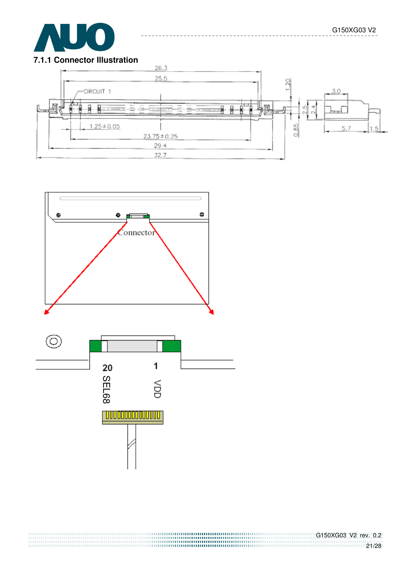#### **7.1.1 Connector Illustration**





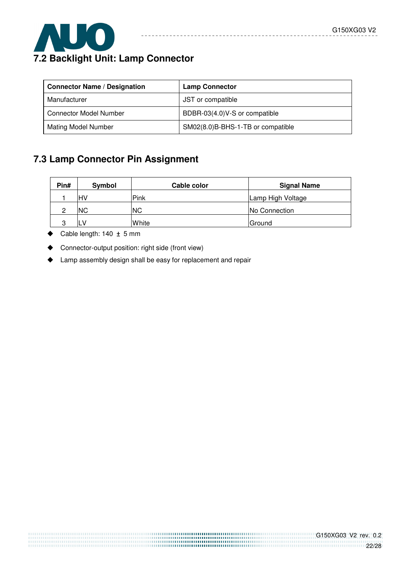

# **7.2 Backlight Unit: Lamp Connector**

| <b>Connector Name / Designation</b> | <b>Lamp Connector</b>             |
|-------------------------------------|-----------------------------------|
| Manufacturer                        | JST or compatible                 |
| <b>Connector Model Number</b>       | BDBR-03(4.0)V-S or compatible     |
| <b>Mating Model Number</b>          | SM02(8.0)B-BHS-1-TB or compatible |

 $- - - - - -$ 

<u> - - - - - - - - -</u>

# **7.3 Lamp Connector Pin Assignment**

| Pin# | <b>Symbol</b> | Cable color | <b>Signal Name</b> |
|------|---------------|-------------|--------------------|
|      | HV            | Pink        | Lamp High Voltage  |
| C    | <b>NC</b>     | <b>NC</b>   | No Connection      |
| ≏    |               | White       | Ground             |

- Cable length:  $140 \pm 5$  mm
- Connector-output position: right side (front view)
- Lamp assembly design shall be easy for replacement and repair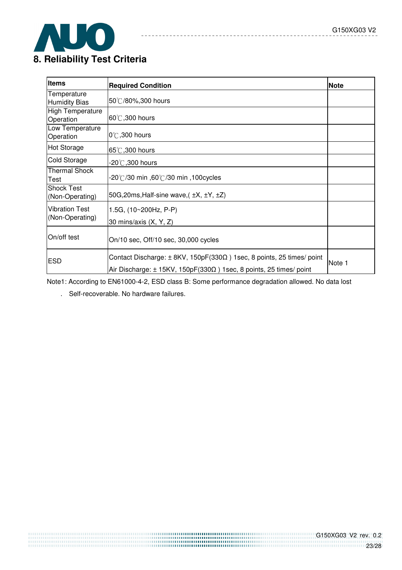

# **8. Reliability Test Criteria**

| ltems                                | <b>Required Condition</b>                                                                                                                                             | <b>Note</b> |
|--------------------------------------|-----------------------------------------------------------------------------------------------------------------------------------------------------------------------|-------------|
| Temperature<br><b>Humidity Bias</b>  | 50°C/80%,300 hours                                                                                                                                                    |             |
| <b>High Temperature</b><br>Operation | $60^{\circ}$ C, 300 hours                                                                                                                                             |             |
| Low Temperature<br>Operation         | $0^\circ\text{C}$ ,300 hours                                                                                                                                          |             |
| <b>Hot Storage</b>                   | 65°C, 300 hours                                                                                                                                                       |             |
| Cold Storage                         | -20 $^\circ\!$ ,300 hours                                                                                                                                             |             |
| <b>Thermal Shock</b><br>Test         | .20℃/30 min ,60℃/30 min ,100cycles                                                                                                                                    |             |
| <b>Shock Test</b><br>(Non-Operating) | 50G, 20ms, Half-sine wave, $(\pm X, \pm Y, \pm Z)$                                                                                                                    |             |
| <b>Vibration Test</b>                | 1.5G, (10~200Hz, P-P)                                                                                                                                                 |             |
| (Non-Operating)                      | 30 mins/axis (X, Y, Z)                                                                                                                                                |             |
| On/off test                          | On/10 sec, Off/10 sec, 30,000 cycles                                                                                                                                  |             |
| <b>ESD</b>                           | Contact Discharge: $\pm$ 8KV, 150pF(330 $\Omega$ ) 1sec, 8 points, 25 times/ point<br>Air Discharge: $\pm$ 15KV, 150pF(330 $\Omega$ ) 1sec, 8 points, 25 times/ point | Note 1      |

 $- - -$ 

 $= -$ 

---------------

Note1: According to EN61000-4-2, ESD class B: Some performance degradation allowed. No data lost

. Self-recoverable. No hardware failures.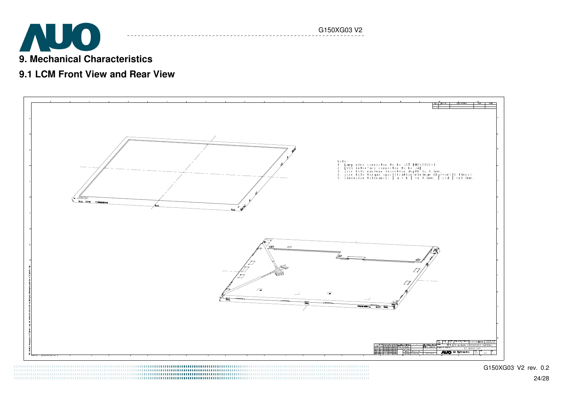

### **9.1 LCM Front View and Rear View**



G150XG03 V2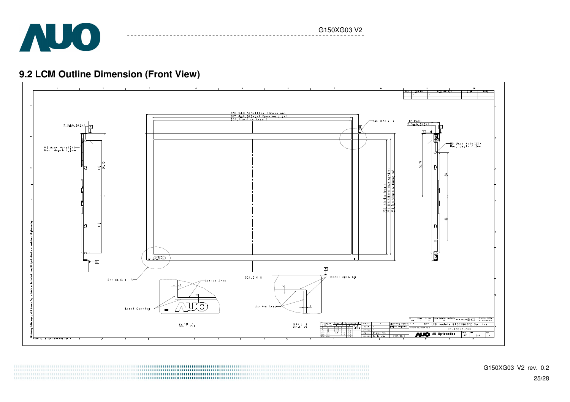

G150XG03 V2

# **9.2 LCM Outline Dimension (Front View)**

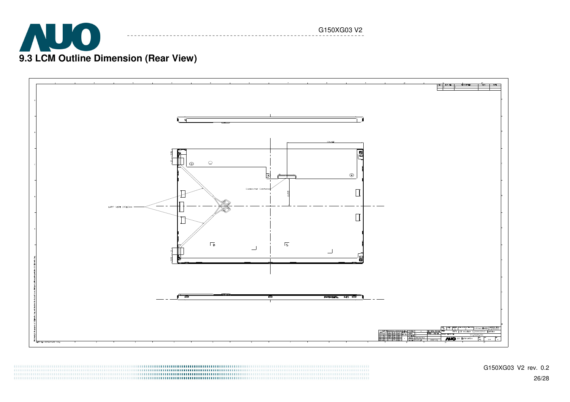

G150XG03 V2



G150XG03 V2 rev. 0.2 26/28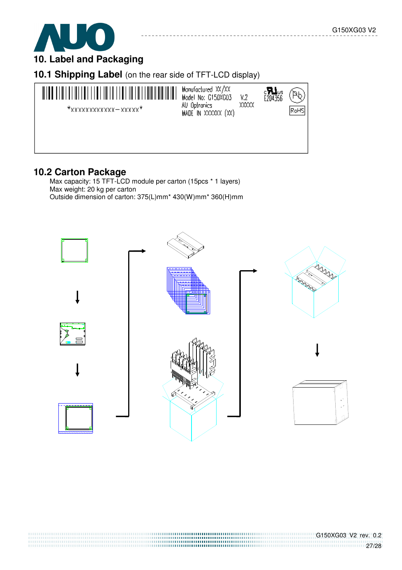



# **10.1 Shipping Label** (on the rear side of TFT-LCD display)



### **10.2 Carton Package**

 Max capacity: 15 TFT-LCD module per carton (15pcs \* 1 layers) Max weight: 20 kg per carton Outside dimension of carton: 375(L)mm\* 430(W)mm\* 360(H)mm